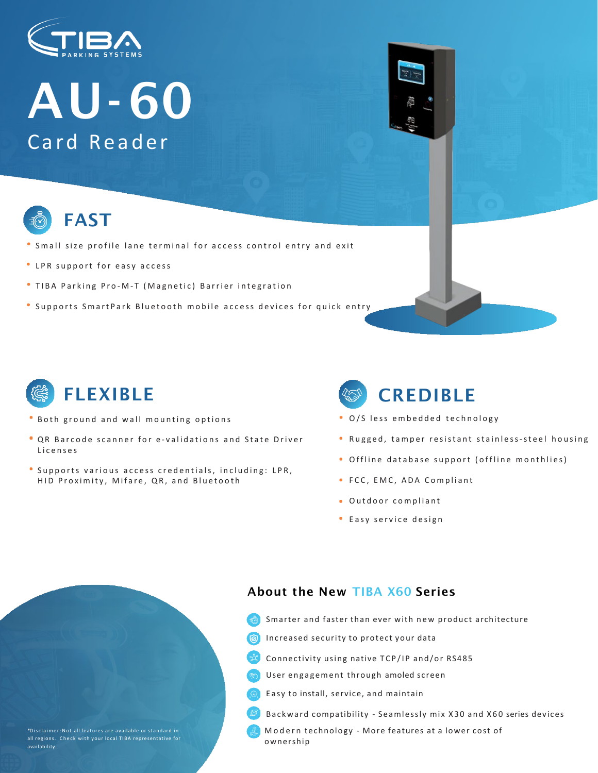

# AU-60 Card Reader



### FAST

- Small size profile lane terminal for access control entry and exit
- LPR support for easy access
- TIBA Parking Pro-M-T (Magnetic) Barrier integration
- **Supports SmartPark Bluetooth mobile access devices for quick entry**



- Both ground and wall mounting options
- QR Barcode scanner for e validations and State Driver Licenses
- Supports various access credentials, including: LPR, HID Proximity, Mifare, QR, and Bluetooth

## **CREDIBLE**

- O/S less embedded technology
- Rugged, tamper resistant stainless-steel housing
- Offline database support (offline monthlies)
- FCC, EMC, ADA Compliant
- Outdoor compliant
- Easy service design

#### About the New TIBA X60 Series

- Smarter and faster than ever with new product architecture
- Increased security to protect your data
- Connectivity using native TCP/IP and/or RS485
- User engagement through amoled screen
- Easy to install, service, and maintain
- Backward compatibility Seamlessly mix X30 and X60 series devices
- Modern technology More features at a lower cost of ownership

all regions. Check with your local TIBA representative for availability.